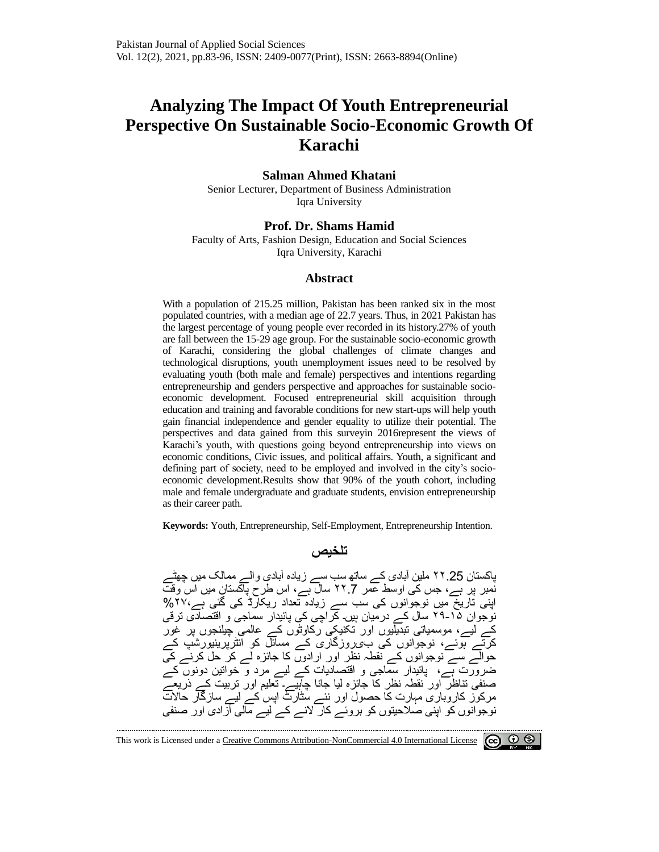# **Analyzing The Impact Of Youth Entrepreneurial Perspective On Sustainable Socio-Economic Growth Of Karachi**

#### **Salman Ahmed Khatani**

Senior Lecturer, Department of Business Administration Iqra University

#### **Prof. Dr. Shams Hamid**

Faculty of Arts, Fashion Design, Education and Social Sciences Iqra University, Karachi

#### **Abstract**

With a population of 215.25 million, Pakistan has been ranked six in the most populated countries, with a median age of 22.7 years. Thus, in 2021 Pakistan has the largest percentage of young people ever recorded in its history.27% of youth are fall between the 15-29 age group. For the sustainable socio-economic growth of Karachi, considering the global challenges of climate changes and technological disruptions, youth unemployment issues need to be resolved by evaluating youth (both male and female) perspectives and intentions regarding entrepreneurship and genders perspective and approaches for sustainable socioeconomic development. Focused entrepreneurial skill acquisition through education and training and favorable conditions for new start-ups will help youth gain financial independence and gender equality to utilize their potential. The perspectives and data gained from this surveyin 2016represent the views of Karachi's youth, with questions going beyond entrepreneurship into views on economic conditions, Civic issues, and political affairs. Youth, a significant and defining part of society, need to be employed and involved in the city's socioeconomic development.Results show that 90% of the youth cohort, including male and female undergraduate and graduate students, envision entrepreneurship as their career path.

**Keywords:** Youth, Entrepreneurship, Self-Employment, Entrepreneurship Intention.

#### **تلخیص**

پاکستان 25 .۲۲ ملین آبادی کے ساتھ سب سے زیادہ آبادی والے ممالک میں چھٹے نمبر پر ہے، جس کی اوسط عمر ۲۲.7 سال ہے ، اس طرح پاکستان میں اس وقت اپنی تاریخ میں نوجوانوں کی سب سے زیادہ تعداد ریکارڈ کی گئی ہے ، %۲۷ نوجوان ۲۹-۲۹ سال کے درمیان ہیں۔ کراچی کی پائیدار سماجی و اقتصادی ترقی کے لیے، موسمیاتی تبدیلیوں اور تکنیکی رکاوٹوں کے عالمی چیلنجوں پر غور کرتے ہوئے، نوجوانوں کی ب $\zeta$ روزگاری کے مسائل کو انٹرپرینیورشپ کے حوالے سے نوجوانوں کے نقطہ نظر اور ارادوں کا جائزہ لے کر حل کرنے کی ضرورت ہے ، پائیدار سماجی و اقتصادیات کے لیے مرد و خ واتین دونوں کے صنفی تناظر اور نقطہ نظر کا جائزہ لیا جانا چاہیے۔ تعلیم اور تربیت کے ذریعے مرکوز کاروباری مہارت کا حصول اور نئے سٹارٹ اپس کے لیے سازگار حاالت نوجوانوں کو اپنی صالحیتوں کو بروئے کار النے کے لیے مالی آزادی اور صنفی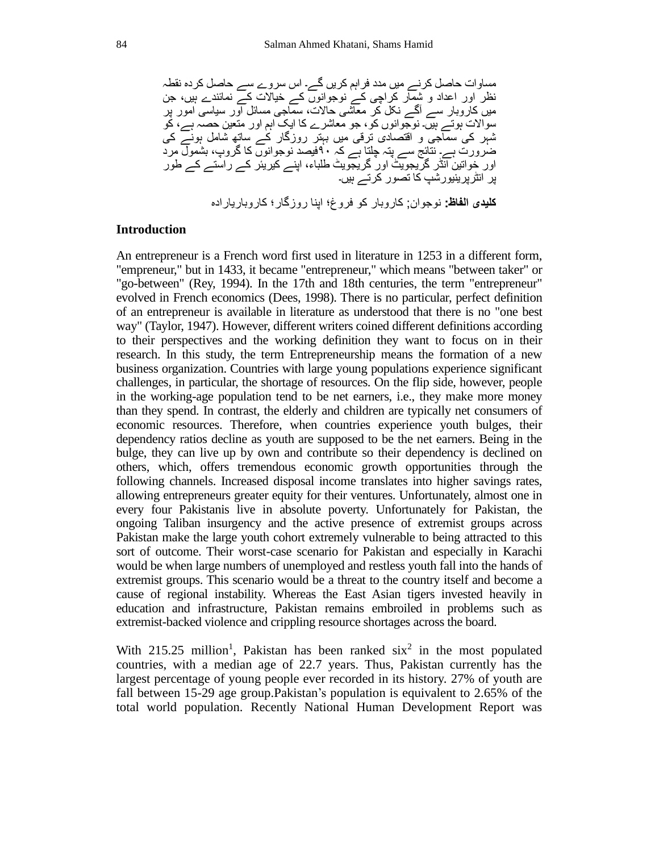مساوات حاصل کرنے میں مدد فراہ م کریں گے۔ اس سروے سے حاصل کردہ نقطہ نظر اور اعداد و شمار کراچی کے نوجوانوں کے خیاالت کے نمائندے ہیں، جن میں کاروبار سے آگے نکل کر معاشی حاالت، سماجی مسائل اور سیاسی امور پر سواالت ہوتے ہیں۔ نوجوانوں کو، جو معاشرے کا ایک اہم اور متعین حصہ ہے، کو شہر کی سماجی و اقتصادی ترقی میں بہتر روزگار کے ساتھ شامل ہونے کی ضرورت ہے۔ نتائج سے پتہ چلتا ہے کہ ۹۰فیصد نوجوانوں کا گروپ، بشمول مرد اور خواتین انڈر گریجویٹ اور گریجویٹ طلباء، اپنے کیریئر کے راستے کے طور پر انٹرپرینیورشپ کا تصور کرتے ہیں۔ **کلیدی الفاظ:** نوجوان; کاروبار کو فروغ؛ اپنا روزگار؛ کاروباریارادہ

# **Introduction**

An entrepreneur is a French word first used in literature in 1253 in a different form, "empreneur," but in 1433, it became "entrepreneur," which means "between taker" or "go-between" (Rey, 1994). In the 17th and 18th centuries, the term "entrepreneur" evolved in French economics (Dees, 1998). There is no particular, perfect definition of an entrepreneur is available in literature as understood that there is no "one best way" (Taylor, 1947). However, different writers coined different definitions according to their perspectives and the working definition they want to focus on in their research. In this study, the term Entrepreneurship means the formation of a new business organization. Countries with large young populations experience significant challenges, in particular, the shortage of resources. On the flip side, however, people in the working-age population tend to be net earners, i.e., they make more money than they spend. In contrast, the elderly and children are typically net consumers of economic resources. Therefore, when countries experience youth bulges, their dependency ratios decline as youth are supposed to be the net earners. Being in the bulge, they can live up by own and contribute so their dependency is declined on others, which, offers tremendous economic growth opportunities through the following channels. Increased disposal income translates into higher savings rates, allowing entrepreneurs greater equity for their ventures. Unfortunately, almost one in every four Pakistanis live in absolute poverty. Unfortunately for Pakistan, the ongoing Taliban insurgency and the active presence of extremist groups across Pakistan make the large youth cohort extremely vulnerable to being attracted to this sort of outcome. Their worst-case scenario for Pakistan and especially in Karachi would be when large numbers of unemployed and restless youth fall into the hands of extremist groups. This scenario would be a threat to the country itself and become a cause of regional instability. Whereas the East Asian tigers invested heavily in education and infrastructure, Pakistan remains embroiled in problems such as extremist-backed violence and crippling resource shortages across the board.

With 215.25 million<sup>1</sup>, Pakistan has been ranked  $six^2$  in the most populated countries, with a median age of 22.7 years. Thus, Pakistan currently has the largest percentage of young people ever recorded in its history. 27% of youth are fall between 15-29 age group.Pakistan's population is equivalent to 2.65% of the total world population. Recently National Human Development Report was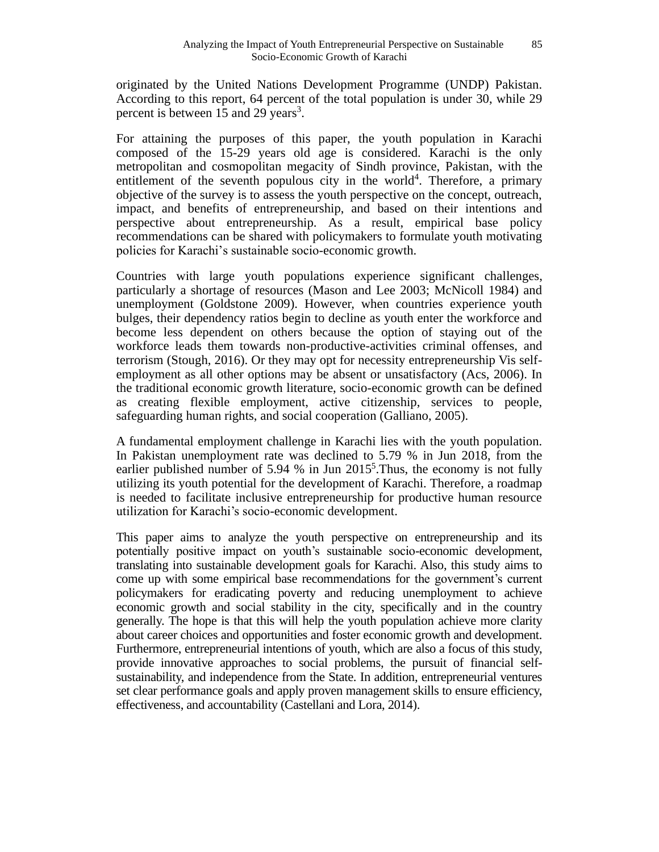originated by the United Nations Development Programme (UNDP) Pakistan. According to this report, 64 percent of the total population is under 30, while 29 percent is between  $15$  and  $29$  years<sup>3</sup>.

For attaining the purposes of this paper, the youth population in Karachi composed of the 15-29 years old age is considered. Karachi is the only metropolitan and cosmopolitan megacity of Sindh province, Pakistan, with the entitlement of the seventh populous city in the world<sup>4</sup>. Therefore, a primary objective of the survey is to assess the youth perspective on the concept, outreach, impact, and benefits of entrepreneurship, and based on their intentions and perspective about entrepreneurship. As a result, empirical base policy recommendations can be shared with policymakers to formulate youth motivating policies for Karachi's sustainable socio-economic growth.

Countries with large youth populations experience significant challenges, particularly a shortage of resources (Mason and Lee 2003; McNicoll 1984) and unemployment (Goldstone 2009). However, when countries experience youth bulges, their dependency ratios begin to decline as youth enter the workforce and become less dependent on others because the option of staying out of the workforce leads them towards non-productive-activities criminal offenses, and terrorism (Stough, 2016). Or they may opt for necessity entrepreneurship Vis selfemployment as all other options may be absent or unsatisfactory (Acs, 2006). In the traditional economic growth literature, socio-economic growth can be defined as creating flexible employment, active citizenship, services to people, safeguarding human rights, and social cooperation (Galliano, 2005).

A fundamental employment challenge in Karachi lies with the youth population. In Pakistan unemployment rate was declined to 5.79 % in Jun 2018, from the earlier published number of 5.94 % in Jun 2015<sup>5</sup>. Thus, the economy is not fully utilizing its youth potential for the development of Karachi. Therefore, a roadmap is needed to facilitate inclusive entrepreneurship for productive human resource utilization for Karachi's socio-economic development.

This paper aims to analyze the youth perspective on entrepreneurship and its potentially positive impact on youth's sustainable socio-economic development, translating into sustainable development goals for Karachi. Also, this study aims to come up with some empirical base recommendations for the government's current policymakers for eradicating poverty and reducing unemployment to achieve economic growth and social stability in the city, specifically and in the country generally. The hope is that this will help the youth population achieve more clarity about career choices and opportunities and foster economic growth and development. Furthermore, entrepreneurial intentions of youth, which are also a focus of this study, provide innovative approaches to social problems, the pursuit of financial selfsustainability, and independence from the State. In addition, entrepreneurial ventures set clear performance goals and apply proven management skills to ensure efficiency, effectiveness, and accountability (Castellani and Lora, 2014).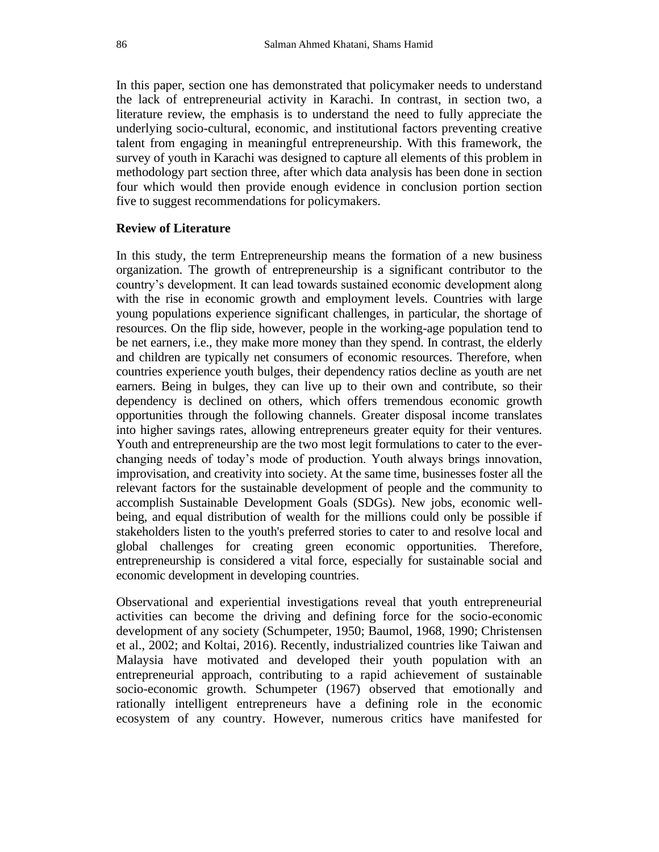In this paper, section one has demonstrated that policymaker needs to understand the lack of entrepreneurial activity in Karachi. In contrast, in section two, a literature review, the emphasis is to understand the need to fully appreciate the underlying socio-cultural, economic, and institutional factors preventing creative talent from engaging in meaningful entrepreneurship. With this framework, the survey of youth in Karachi was designed to capture all elements of this problem in methodology part section three, after which data analysis has been done in section four which would then provide enough evidence in conclusion portion section five to suggest recommendations for policymakers.

#### **Review of Literature**

In this study, the term Entrepreneurship means the formation of a new business organization. The growth of entrepreneurship is a significant contributor to the country's development. It can lead towards sustained economic development along with the rise in economic growth and employment levels. Countries with large young populations experience significant challenges, in particular, the shortage of resources. On the flip side, however, people in the working-age population tend to be net earners, i.e., they make more money than they spend. In contrast, the elderly and children are typically net consumers of economic resources. Therefore, when countries experience youth bulges, their dependency ratios decline as youth are net earners. Being in bulges, they can live up to their own and contribute, so their dependency is declined on others, which offers tremendous economic growth opportunities through the following channels. Greater disposal income translates into higher savings rates, allowing entrepreneurs greater equity for their ventures. Youth and entrepreneurship are the two most legit formulations to cater to the everchanging needs of today's mode of production. Youth always brings innovation, improvisation, and creativity into society. At the same time, businesses foster all the relevant factors for the sustainable development of people and the community to accomplish Sustainable Development Goals (SDGs). New jobs, economic wellbeing, and equal distribution of wealth for the millions could only be possible if stakeholders listen to the youth's preferred stories to cater to and resolve local and global challenges for creating green economic opportunities. Therefore, entrepreneurship is considered a vital force, especially for sustainable social and economic development in developing countries.

Observational and experiential investigations reveal that youth entrepreneurial activities can become the driving and defining force for the socio-economic development of any society (Schumpeter, 1950; Baumol, 1968, 1990; Christensen et al., 2002; and Koltai, 2016). Recently, industrialized countries like Taiwan and Malaysia have motivated and developed their youth population with an entrepreneurial approach, contributing to a rapid achievement of sustainable socio-economic growth. Schumpeter (1967) observed that emotionally and rationally intelligent entrepreneurs have a defining role in the economic ecosystem of any country. However, numerous critics have manifested for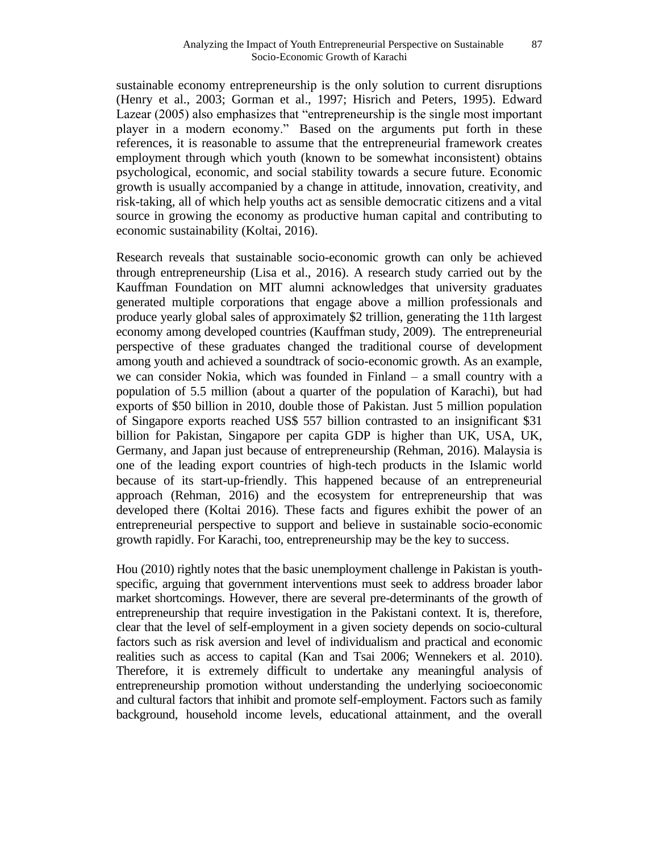sustainable economy entrepreneurship is the only solution to current disruptions (Henry et al., 2003; Gorman et al., 1997; Hisrich and Peters, 1995). Edward Lazear (2005) also emphasizes that "entrepreneurship is the single most important player in a modern economy." Based on the arguments put forth in these references, it is reasonable to assume that the entrepreneurial framework creates employment through which youth (known to be somewhat inconsistent) obtains psychological, economic, and social stability towards a secure future. Economic growth is usually accompanied by a change in attitude, innovation, creativity, and risk-taking, all of which help youths act as sensible democratic citizens and a vital source in growing the economy as productive human capital and contributing to economic sustainability (Koltai, 2016).

Research reveals that sustainable socio-economic growth can only be achieved through entrepreneurship (Lisa et al., 2016). A research study carried out by the Kauffman Foundation on MIT alumni acknowledges that university graduates generated multiple corporations that engage above a million professionals and produce yearly global sales of approximately \$2 trillion, generating the 11th largest economy among developed countries (Kauffman study, 2009). The entrepreneurial perspective of these graduates changed the traditional course of development among youth and achieved a soundtrack of socio-economic growth. As an example, we can consider Nokia, which was founded in Finland – a small country with a population of 5.5 million (about a quarter of the population of Karachi), but had exports of \$50 billion in 2010, double those of Pakistan. Just 5 million population of Singapore exports reached US\$ 557 billion contrasted to an insignificant \$31 billion for Pakistan, Singapore per capita GDP is higher than UK, USA, UK, Germany, and Japan just because of entrepreneurship (Rehman, 2016). Malaysia is one of the leading export countries of high-tech products in the Islamic world because of its start-up-friendly. This happened because of an entrepreneurial approach (Rehman, 2016) and the ecosystem for entrepreneurship that was developed there (Koltai 2016). These facts and figures exhibit the power of an entrepreneurial perspective to support and believe in sustainable socio-economic growth rapidly. For Karachi, too, entrepreneurship may be the key to success.

Hou (2010) rightly notes that the basic unemployment challenge in Pakistan is youthspecific, arguing that government interventions must seek to address broader labor market shortcomings. However, there are several pre-determinants of the growth of entrepreneurship that require investigation in the Pakistani context. It is, therefore, clear that the level of self-employment in a given society depends on socio-cultural factors such as risk aversion and level of individualism and practical and economic realities such as access to capital (Kan and Tsai 2006; Wennekers et al. 2010). Therefore, it is extremely difficult to undertake any meaningful analysis of entrepreneurship promotion without understanding the underlying socioeconomic and cultural factors that inhibit and promote self-employment. Factors such as family background, household income levels, educational attainment, and the overall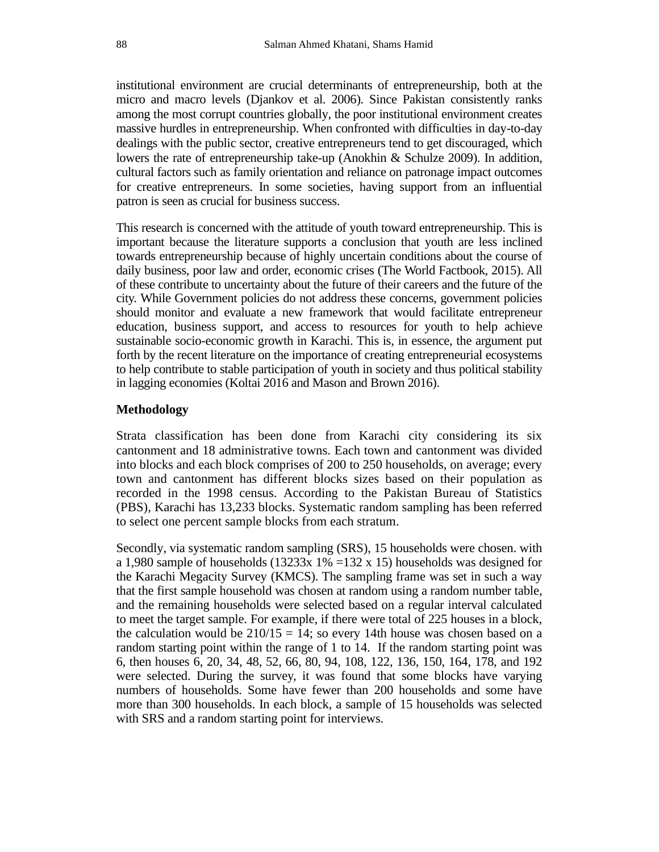institutional environment are crucial determinants of entrepreneurship, both at the micro and macro levels (Djankov et al. 2006). Since Pakistan consistently ranks among the most corrupt countries globally, the poor institutional environment creates massive hurdles in entrepreneurship. When confronted with difficulties in day-to-day dealings with the public sector, creative entrepreneurs tend to get discouraged, which lowers the rate of entrepreneurship take-up (Anokhin & Schulze 2009). In addition, cultural factors such as family orientation and reliance on patronage impact outcomes for creative entrepreneurs. In some societies, having support from an influential patron is seen as crucial for business success.

This research is concerned with the attitude of youth toward entrepreneurship. This is important because the literature supports a conclusion that youth are less inclined towards entrepreneurship because of highly uncertain conditions about the course of daily business, poor law and order, economic crises (The World Factbook, 2015). All of these contribute to uncertainty about the future of their careers and the future of the city. While Government policies do not address these concerns, government policies should monitor and evaluate a new framework that would facilitate entrepreneur education, business support, and access to resources for youth to help achieve sustainable socio-economic growth in Karachi. This is, in essence, the argument put forth by the recent literature on the importance of creating entrepreneurial ecosystems to help contribute to stable participation of youth in society and thus political stability in lagging economies (Koltai 2016 and Mason and Brown 2016).

# **Methodology**

Strata classification has been done from Karachi city considering its six cantonment and 18 administrative towns. Each town and cantonment was divided into blocks and each block comprises of 200 to 250 households, on average; every town and cantonment has different blocks sizes based on their population as recorded in the 1998 census. According to the Pakistan Bureau of Statistics (PBS), Karachi has 13,233 blocks. Systematic random sampling has been referred to select one percent sample blocks from each stratum.

Secondly, via systematic random sampling (SRS), 15 households were chosen. with a 1,980 sample of households  $(13233x 1\% = 132 x 15)$  households was designed for the Karachi Megacity Survey (KMCS). The sampling frame was set in such a way that the first sample household was chosen at random using a random number table, and the remaining households were selected based on a regular interval calculated to meet the target sample. For example, if there were total of 225 houses in a block, the calculation would be  $210/15 = 14$ ; so every 14th house was chosen based on a random starting point within the range of 1 to 14. If the random starting point was 6, then houses 6, 20, 34, 48, 52, 66, 80, 94, 108, 122, 136, 150, 164, 178, and 192 were selected. During the survey, it was found that some blocks have varying numbers of households. Some have fewer than 200 households and some have more than 300 households. In each block, a sample of 15 households was selected with SRS and a random starting point for interviews.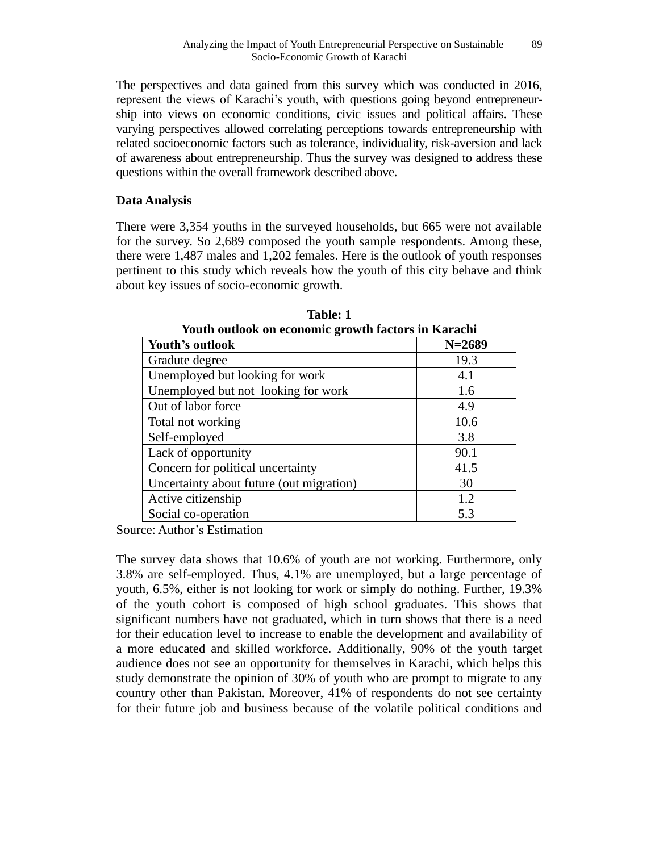The perspectives and data gained from this survey which was conducted in 2016, represent the views of Karachi's youth, with questions going beyond entrepreneurship into views on economic conditions, civic issues and political affairs. These varying perspectives allowed correlating perceptions towards entrepreneurship with related socioeconomic factors such as tolerance, individuality, risk-aversion and lack of awareness about entrepreneurship. Thus the survey was designed to address these questions within the overall framework described above.

#### **Data Analysis**

There were 3,354 youths in the surveyed households, but 665 were not available for the survey. So 2,689 composed the youth sample respondents. Among these, there were 1,487 males and 1,202 females. Here is the outlook of youth responses pertinent to this study which reveals how the youth of this city behave and think about key issues of socio-economic growth.

| Youth outlook on economic growth factors in Karachi |            |  |
|-----------------------------------------------------|------------|--|
| Youth's outlook                                     | $N = 2689$ |  |
| Gradute degree                                      | 19.3       |  |
| Unemployed but looking for work                     | 4.1        |  |
| Unemployed but not looking for work                 | 1.6        |  |
| Out of labor force                                  | 4.9        |  |
| Total not working                                   | 10.6       |  |
| Self-employed                                       | 3.8        |  |
| Lack of opportunity                                 | 90.1       |  |
| Concern for political uncertainty                   | 41.5       |  |
| Uncertainty about future (out migration)            | 30         |  |
| Active citizenship                                  | 1.2        |  |
| Social co-operation                                 | 5.3        |  |

**Table: 1**

Source: Author's Estimation

The survey data shows that 10.6% of youth are not working. Furthermore, only 3.8% are self-employed. Thus, 4.1% are unemployed, but a large percentage of youth, 6.5%, either is not looking for work or simply do nothing. Further, 19.3% of the youth cohort is composed of high school graduates. This shows that significant numbers have not graduated, which in turn shows that there is a need for their education level to increase to enable the development and availability of a more educated and skilled workforce. Additionally, 90% of the youth target audience does not see an opportunity for themselves in Karachi, which helps this study demonstrate the opinion of 30% of youth who are prompt to migrate to any country other than Pakistan. Moreover, 41% of respondents do not see certainty for their future job and business because of the volatile political conditions and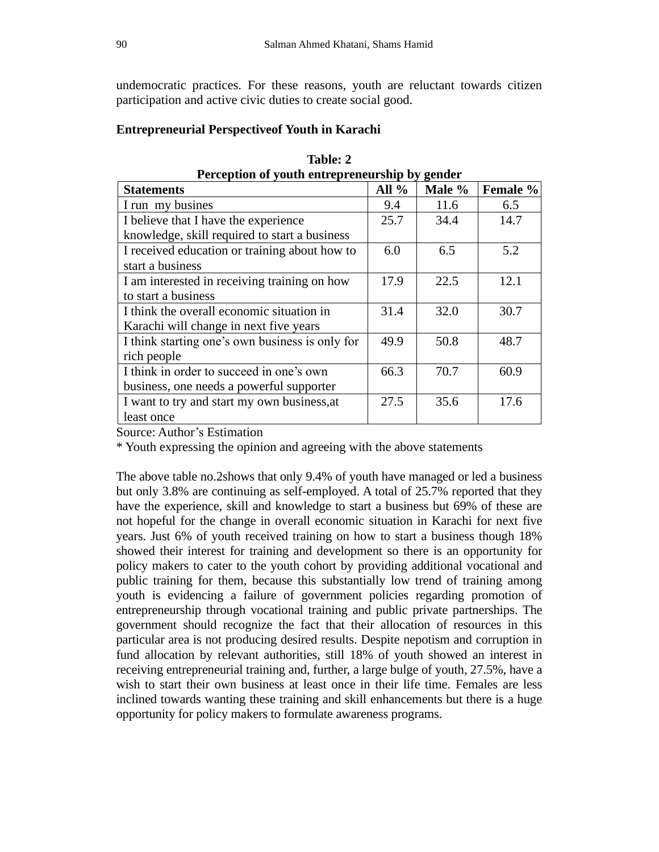undemocratic practices. For these reasons, youth are reluctant towards citizen participation and active civic duties to create social good.

# **Entrepreneurial Perspectiveof Youth in Karachi**

| Perception of youth entrepreneurship by gender  |         |        |          |
|-------------------------------------------------|---------|--------|----------|
| <b>Statements</b>                               | All $%$ | Male % | Female % |
| I run my busines                                | 9.4     | 11.6   | 6.5      |
| I believe that I have the experience            | 25.7    | 34.4   | 14.7     |
| knowledge, skill required to start a business   |         |        |          |
| I received education or training about how to   | 6.0     | 6.5    | 5.2      |
| start a business                                |         |        |          |
| I am interested in receiving training on how    | 17.9    | 22.5   | 12.1     |
| to start a business                             |         |        |          |
| I think the overall economic situation in       | 31.4    | 32.0   | 30.7     |
| Karachi will change in next five years          |         |        |          |
| I think starting one's own business is only for | 49.9    | 50.8   | 48.7     |
| rich people                                     |         |        |          |
| I think in order to succeed in one's own        | 66.3    | 70.7   | 60.9     |
| business, one needs a powerful supporter        |         |        |          |
| I want to try and start my own business, at     | 27.5    | 35.6   | 17.6     |
| least once                                      |         |        |          |

**Table: 2 Perception of youth entrepreneurship by gender** 

Source: Author's Estimation

\* Youth expressing the opinion and agreeing with the above statements

The above table no.2shows that only 9.4% of youth have managed or led a business but only 3.8% are continuing as self-employed. A total of 25.7% reported that they have the experience, skill and knowledge to start a business but 69% of these are not hopeful for the change in overall economic situation in Karachi for next five years. Just 6% of youth received training on how to start a business though 18% showed their interest for training and development so there is an opportunity for policy makers to cater to the youth cohort by providing additional vocational and public training for them, because this substantially low trend of training among youth is evidencing a failure of government policies regarding promotion of entrepreneurship through vocational training and public private partnerships. The government should recognize the fact that their allocation of resources in this particular area is not producing desired results. Despite nepotism and corruption in fund allocation by relevant authorities, still 18% of youth showed an interest in receiving entrepreneurial training and, further, a large bulge of youth, 27.5%, have a wish to start their own business at least once in their life time. Females are less inclined towards wanting these training and skill enhancements but there is a huge opportunity for policy makers to formulate awareness programs.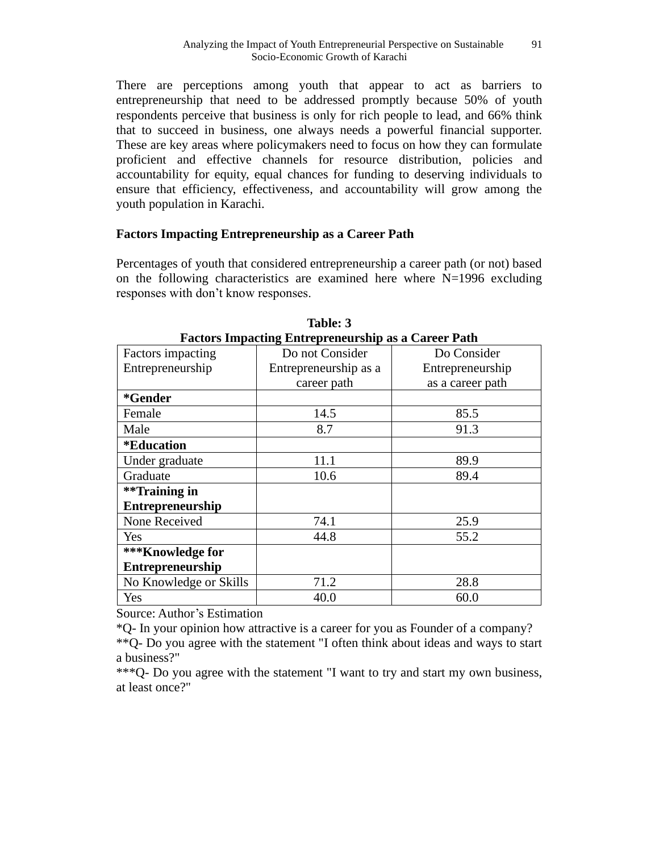There are perceptions among youth that appear to act as barriers to entrepreneurship that need to be addressed promptly because 50% of youth respondents perceive that business is only for rich people to lead, and 66% think that to succeed in business, one always needs a powerful financial supporter. These are key areas where policymakers need to focus on how they can formulate proficient and effective channels for resource distribution, policies and accountability for equity, equal chances for funding to deserving individuals to ensure that efficiency, effectiveness, and accountability will grow among the youth population in Karachi.

# **Factors Impacting Entrepreneurship as a Career Path**

Percentages of youth that considered entrepreneurship a career path (or not) based on the following characteristics are examined here where  $N=1996$  excluding responses with don't know responses.

| <b>Factors Impacting Entrepreneurship as a Career Path</b> |                       |                  |
|------------------------------------------------------------|-----------------------|------------------|
| Factors impacting                                          | Do not Consider       | Do Consider      |
| Entrepreneurship                                           | Entrepreneurship as a | Entrepreneurship |
|                                                            | career path           | as a career path |
| *Gender                                                    |                       |                  |
| Female                                                     | 14.5                  | 85.5             |
| Male                                                       | 8.7                   | 91.3             |
| <i><b>*Education</b></i>                                   |                       |                  |
| Under graduate                                             | 11.1                  | 89.9             |
| Graduate                                                   | 10.6                  | 89.4             |
| **Training in                                              |                       |                  |
| <b>Entrepreneurship</b>                                    |                       |                  |
| None Received                                              | 74.1                  | 25.9             |
| Yes                                                        | 44.8                  | 55.2             |
| *** Knowledge for                                          |                       |                  |
| Entrepreneurship                                           |                       |                  |
| No Knowledge or Skills                                     | 71.2                  | 28.8             |
| Yes                                                        | 40.0                  | 60.0             |

**Table: 3**

Source: Author's Estimation

\*Q- In your opinion how attractive is a career for you as Founder of a company?

\*\*Q- Do you agree with the statement "I often think about ideas and ways to start a business?"

\*\*\*Q- Do you agree with the statement "I want to try and start my own business, at least once?"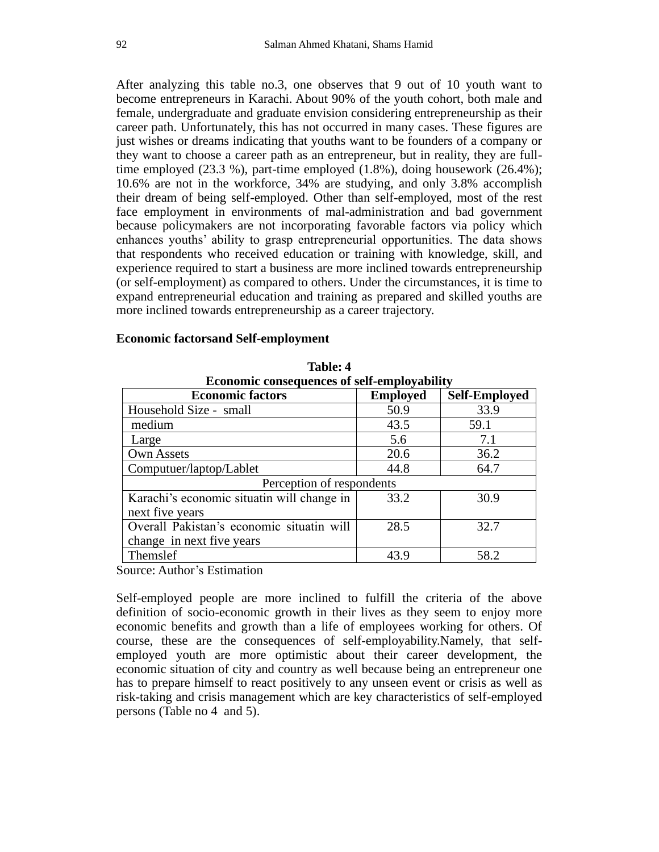After analyzing this table no.3, one observes that 9 out of 10 youth want to become entrepreneurs in Karachi. About 90% of the youth cohort, both male and female, undergraduate and graduate envision considering entrepreneurship as their career path. Unfortunately, this has not occurred in many cases. These figures are just wishes or dreams indicating that youths want to be founders of a company or they want to choose a career path as an entrepreneur, but in reality, they are fulltime employed (23.3 %), part-time employed (1.8%), doing housework (26.4%); 10.6% are not in the workforce, 34% are studying, and only 3.8% accomplish their dream of being self-employed. Other than self-employed, most of the rest face employment in environments of mal-administration and bad government because policymakers are not incorporating favorable factors via policy which enhances youths' ability to grasp entrepreneurial opportunities. The data shows that respondents who received education or training with knowledge, skill, and experience required to start a business are more inclined towards entrepreneurship (or self-employment) as compared to others. Under the circumstances, it is time to expand entrepreneurial education and training as prepared and skilled youths are more inclined towards entrepreneurship as a career trajectory.

#### **Economic factorsand Self-employment**

| <b>Economic consequences of self-employability</b> |                 |                      |  |
|----------------------------------------------------|-----------------|----------------------|--|
| <b>Economic factors</b>                            | <b>Employed</b> | <b>Self-Employed</b> |  |
| Household Size - small                             | 50.9            | 33.9                 |  |
| medium                                             | 43.5            | 59.1                 |  |
| Large                                              | 5.6             | 7.1                  |  |
| Own Assets                                         | 20.6            | 36.2                 |  |
| Computuer/laptop/Lablet                            | 44.8            | 64.7                 |  |
| Perception of respondents                          |                 |                      |  |
| Karachi's economic situatin will change in         | 33.2            | 30.9                 |  |
| next five years                                    |                 |                      |  |
| Overall Pakistan's economic situatin will          | 28.5            | 32.7                 |  |
| change in next five years                          |                 |                      |  |
| Themslef                                           | 43.9            | 58.2                 |  |

**Table: 4**

Source: Author's Estimation

Self-employed people are more inclined to fulfill the criteria of the above definition of socio-economic growth in their lives as they seem to enjoy more economic benefits and growth than a life of employees working for others. Of course, these are the consequences of self-employability.Namely, that selfemployed youth are more optimistic about their career development, the economic situation of city and country as well because being an entrepreneur one has to prepare himself to react positively to any unseen event or crisis as well as risk-taking and crisis management which are key characteristics of self-employed persons (Table no 4 and 5).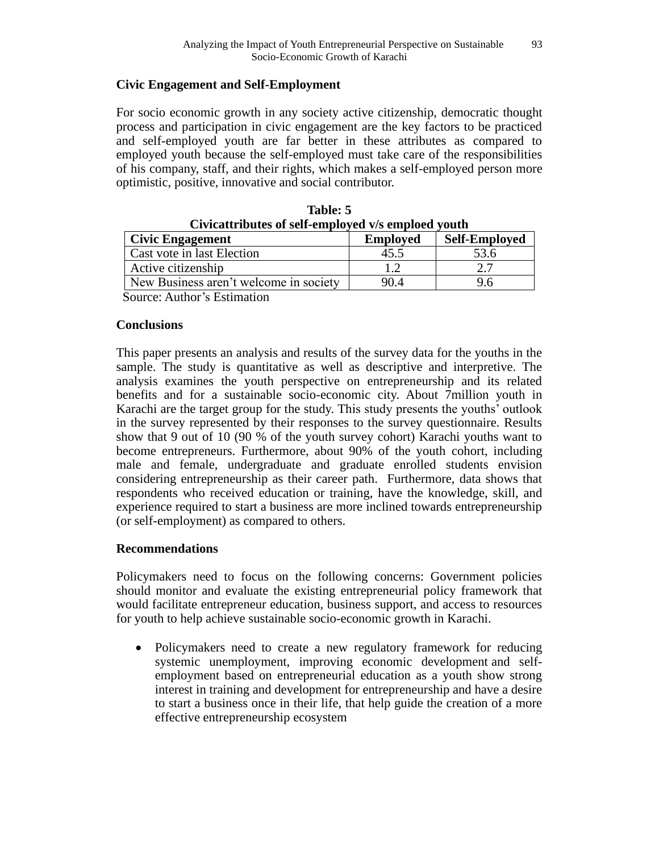# **Civic Engagement and Self-Employment**

For socio economic growth in any society active citizenship, democratic thought process and participation in civic engagement are the key factors to be practiced and self-employed youth are far better in these attributes as compared to employed youth because the self-employed must take care of the responsibilities of his company, staff, and their rights, which makes a self-employed person more optimistic, positive, innovative and social contributor.

| Civicattributes of self-employed v/s emploed youth |                 |                      |
|----------------------------------------------------|-----------------|----------------------|
| <b>Civic Engagement</b>                            | <b>Employed</b> | <b>Self-Employed</b> |
| Cast vote in last Election                         | 45.5            | 53.6                 |
| Active citizenship                                 |                 |                      |
| New Business aren't welcome in society             | 90.4            | 9.6                  |
|                                                    |                 |                      |

| Table: 5                                           |
|----------------------------------------------------|
| Civicattributes of self-employed v/s emploed youth |

Source: Author's Estimation

# **Conclusions**

This paper presents an analysis and results of the survey data for the youths in the sample. The study is quantitative as well as descriptive and interpretive. The analysis examines the youth perspective on entrepreneurship and its related benefits and for a sustainable socio-economic city. About 7million youth in Karachi are the target group for the study. This study presents the youths' outlook in the survey represented by their responses to the survey questionnaire. Results show that 9 out of 10 (90 % of the youth survey cohort) Karachi youths want to become entrepreneurs. Furthermore, about 90% of the youth cohort, including male and female, undergraduate and graduate enrolled students envision considering entrepreneurship as their career path. Furthermore, data shows that respondents who received education or training, have the knowledge, skill, and experience required to start a business are more inclined towards entrepreneurship (or self-employment) as compared to others.

# **Recommendations**

Policymakers need to focus on the following concerns: Government policies should monitor and evaluate the existing entrepreneurial policy framework that would facilitate entrepreneur education, business support, and access to resources for youth to help achieve sustainable socio-economic growth in Karachi.

• Policymakers need to create a new regulatory framework for reducing systemic unemployment, improving economic development and selfemployment based on entrepreneurial education as a youth show strong interest in training and development for entrepreneurship and have a desire to start a business once in their life, that help guide the creation of a more effective entrepreneurship ecosystem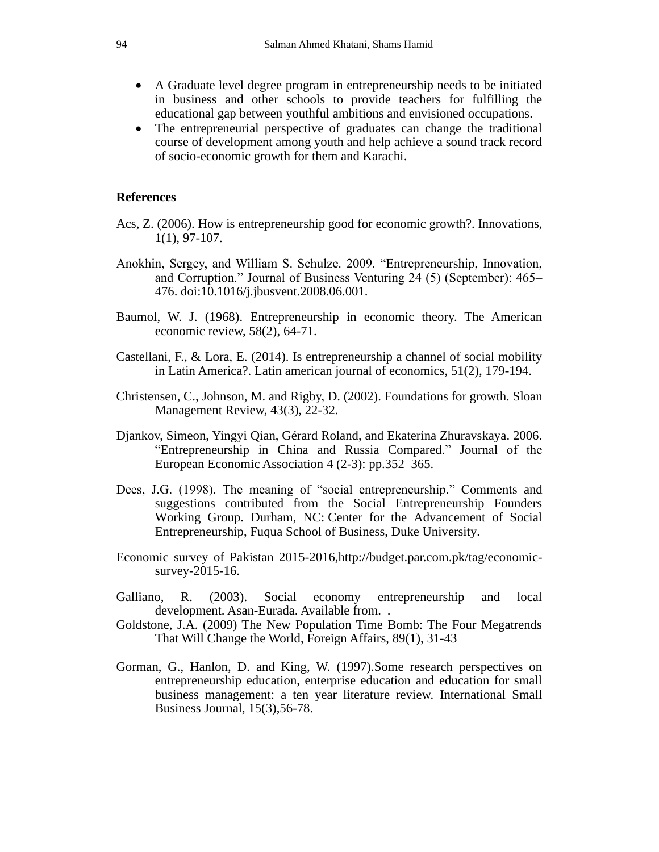- A Graduate level degree program in entrepreneurship needs to be initiated in business and other schools to provide teachers for fulfilling the educational gap between youthful ambitions and envisioned occupations.
- The entrepreneurial perspective of graduates can change the traditional course of development among youth and help achieve a sound track record of socio-economic growth for them and Karachi.

# **References**

- Acs, Z. (2006). How is entrepreneurship good for economic growth?. Innovations, 1(1), 97-107.
- Anokhin, Sergey, and William S. Schulze. 2009. "Entrepreneurship, Innovation, and Corruption." Journal of Business Venturing 24 (5) (September): 465– 476. doi:10.1016/j.jbusvent.2008.06.001.
- Baumol, W. J. (1968). Entrepreneurship in economic theory. The American economic review, 58(2), 64-71.
- Castellani, F., & Lora, E. (2014). Is entrepreneurship a channel of social mobility in Latin America?. Latin american journal of economics, 51(2), 179-194.
- Christensen, C., Johnson, M. and Rigby, D. (2002). Foundations for growth. Sloan Management Review, 43(3), 22-32.
- Djankov, Simeon, Yingyi Qian, Gérard Roland, and Ekaterina Zhuravskaya. 2006. "Entrepreneurship in China and Russia Compared." Journal of the European Economic Association 4 (2-3): pp.352–365.
- Dees, J.G. (1998). The meaning of "social entrepreneurship." Comments and suggestions contributed from the Social Entrepreneurship Founders Working Group. Durham, NC: Center for the Advancement of Social Entrepreneurship, Fuqua School of Business, Duke University.
- Economic survey of Pakistan 2015-2016,http://budget.par.com.pk/tag/economicsurvey-2015-16.
- Galliano, R. (2003). Social economy entrepreneurship and local development. Asan-Eurada. Available from. .
- Goldstone, J.A. (2009) The New Population Time Bomb: The Four Megatrends That Will Change the World, Foreign Affairs, 89(1), 31-43
- Gorman, G., Hanlon, D. and King, W. (1997).Some research perspectives on entrepreneurship education, enterprise education and education for small business management: a ten year literature review. International Small Business Journal, 15(3),56-78.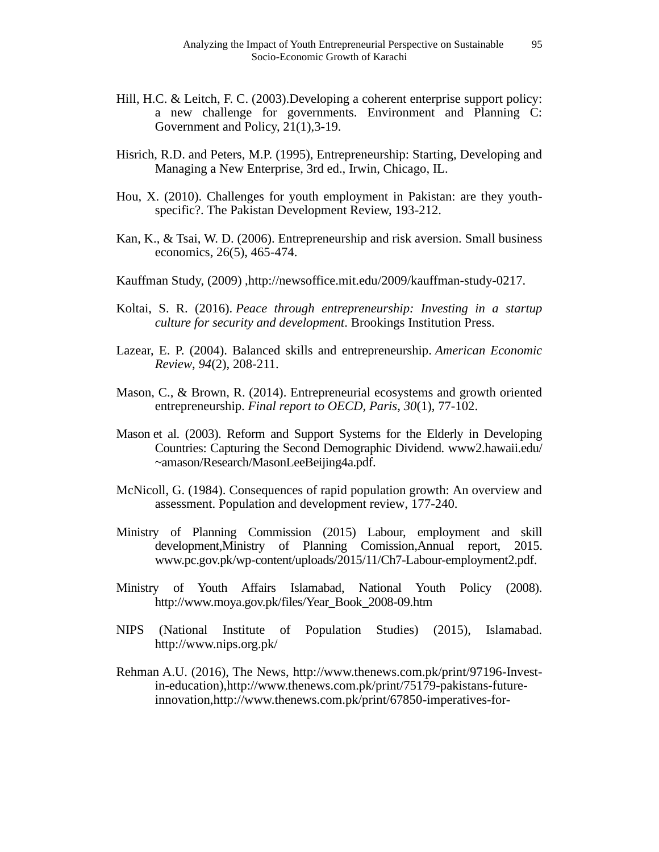- Hill, H.C. & Leitch, F. C. (2003).Developing a coherent enterprise support policy: a new challenge for governments. Environment and Planning C: Government and Policy, 21(1),3-19.
- Hisrich, R.D. and Peters, M.P. (1995), Entrepreneurship: Starting, Developing and Managing a New Enterprise, 3rd ed., Irwin, Chicago, IL.
- Hou, X. (2010). Challenges for youth employment in Pakistan: are they youthspecific?. The Pakistan Development Review, 193-212.
- Kan, K., & Tsai, W. D. (2006). Entrepreneurship and risk aversion. Small business economics, 26(5), 465-474.
- Kauffman Study, (2009) [,http://newsoffice.mit.edu/2009/kauffman-study-0217.](http://newsoffice.mit.edu/2009/kauffman-study-0217)
- Koltai, S. R. (2016). *Peace through entrepreneurship: Investing in a startup culture for security and development*. Brookings Institution Press.
- Lazear, E. P. (2004). Balanced skills and entrepreneurship. *American Economic Review*, *94*(2), 208-211.
- Mason, C., & Brown, R. (2014). Entrepreneurial ecosystems and growth oriented entrepreneurship. *Final report to OECD, Paris*, *30*(1), 77-102.
- Mason et al. (2003). Reform and Support Systems for the Elderly in Developing Countries: Capturing the Second Demographic Dividend. www2.hawaii.edu/ ~amason/Research/MasonLeeBeijing4a.pdf.
- McNicoll, G. (1984). Consequences of rapid population growth: An overview and assessment. Population and development review, 177-240.
- Ministry of Planning Commission (2015) Labour, employment and skill development,Ministry of Planning Comission,Annual report, 2015. [www.pc.gov.pk/wp-content/uploads/2015/11/Ch7-Labour-employment2.pdf.](http://www.pc.gov.pk/wp-content/uploads/2015/11/Ch7-Labour-employment2.pdf)
- Ministry of Youth Affairs Islamabad, National Youth Policy (2008). http://www.moya.gov.pk/files/Year\_Book\_2008-09.htm
- NIPS (National Institute of Population Studies) (2015), Islamabad. <http://www.nips.org.pk/>
- Rehman A.U. (2016), The News, http://www.thenews.com.pk/print/97196-Investin-education),http://www.thenews.com.pk/print/75179-pakistans-futureinnovation,http://www.thenews.com.pk/print/67850-imperatives-for-